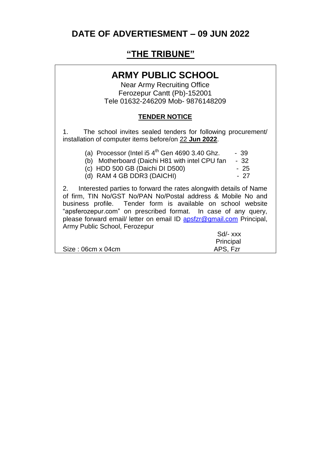# **DATE OF ADVERTIESMENT – 09 JUN 2022**

## **"THE TRIBUNE"**

## **ARMY PUBLIC SCHOOL**

Near Army Recruiting Office Ferozepur Cantt (Pb)-152001 Tele 01632-246209 Mob- 9876148209

#### **TENDER NOTICE**

1. The school invites sealed tenders for following procurement/ installation of computer items before/on 22 **Jun 2022**.

| (a) Processor (Intel i5 $4th$ Gen 4690 3.40 Ghz. | - 39 |
|--------------------------------------------------|------|
| (b) Motherboard (Daichi H81 with intel CPU fan   | - 32 |
| (c) HDD 500 GB (Daichi DI D500)                  | - 25 |
| (d) RAM 4 GB DDR3 (DAICHI)                       | - 27 |

2. Interested parties to forward the rates alongwith details of Name of firm, TIN No/GST No/PAN No/Postal address & Mobile No and business profile. Tender form is available on school website "apsferozepur.com" on prescribed format. In case of any query, please forward email/ letter on email ID [apsfzr@gmail.com](mailto:apsfzr@gmail.com) Principal, Army Public School, Ferozepur

|                   | Sd/- xxx  |
|-------------------|-----------|
|                   | Principal |
| Size: 06cm x 04cm | APS, Fzr  |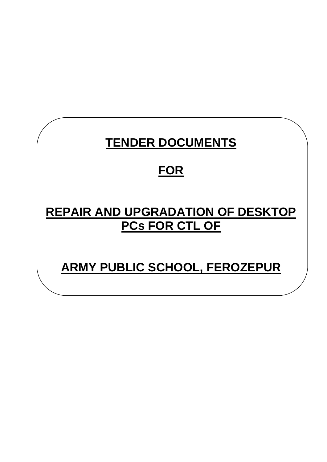# **TENDER DOCUMENTS FOR REPAIR AND UPGRADATION OF DESKTOP PCs FOR CTL OF ARMY PUBLIC SCHOOL, FEROZEPUR**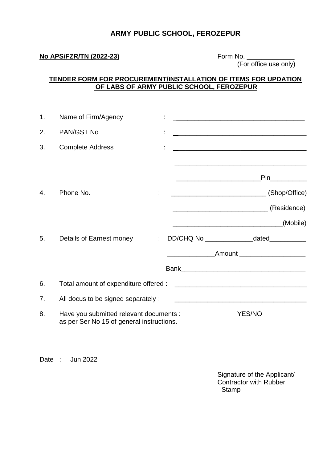#### **ARMY PUBLIC SCHOOL, FEROZEPUR**

#### **No APS/FZR/TN (2022-23)** Form No. \_\_\_\_\_\_\_\_\_\_\_\_\_

(For office use only)

#### **TENDER FORM FOR PROCUREMENT/INSTALLATION OF ITEMS FOR UPDATION OF LABS OF ARMY PUBLIC SCHOOL, FEROZEPUR**

| 1.           | Name of Firm/Agency                                                                  |  | <u> 1980 - Johann Barn, mars ann an t-Amhain ann an t-Amhain an t-Amhain an t-Amhain an t-Amhain an t-Amhain an t-</u> |
|--------------|--------------------------------------------------------------------------------------|--|------------------------------------------------------------------------------------------------------------------------|
| 2.           | PAN/GST No                                                                           |  |                                                                                                                        |
| 3.           | <b>Complete Address</b>                                                              |  | <u> 1989 - Johann John Stoff, deutscher Stoffen und der Stoffen und der Stoffen und der Stoffen und der Stoffen</u>    |
|              |                                                                                      |  | <b>Pin</b>                                                                                                             |
| $\mathbf{4}$ | Phone No.                                                                            |  |                                                                                                                        |
|              |                                                                                      |  |                                                                                                                        |
|              |                                                                                      |  | (Mobile)                                                                                                               |
| 5.           | Details of Earnest money                                                             |  | DD/CHQ No __________________dated____________                                                                          |
|              |                                                                                      |  | _____________________Amount ________________________                                                                   |
|              |                                                                                      |  |                                                                                                                        |
| 6.           | Total amount of expenditure offered :                                                |  |                                                                                                                        |
| 7.           | All docus to be signed separately :                                                  |  |                                                                                                                        |
| 8.           | Have you submitted relevant documents :<br>as per Ser No 15 of general instructions. |  | <b>YES/NO</b>                                                                                                          |

Date : Jun 2022

Signature of the Applicant/ Contractor with Rubber **Stamp**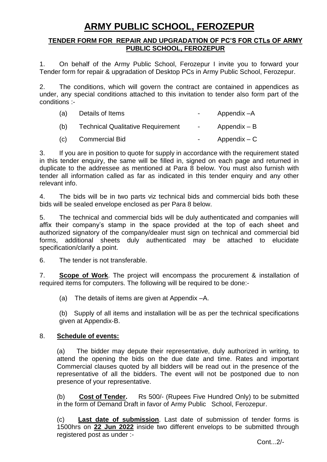# **ARMY PUBLIC SCHOOL, FEROZEPUR**

#### **TENDER FORM FOR REPAIR AND UPGRADATION OF PC'S FOR CTLs OF ARMY PUBLIC SCHOOL, FEROZEPUR**

1. On behalf of the Army Public School, Ferozepur I invite you to forward your Tender form for repair & upgradation of Desktop PCs in Army Public School, Ferozepur.

2. The conditions, which will govern the contract are contained in appendices as under, any special conditions attached to this invitation to tender also form part of the conditions :-

| (a) | Details of Items                         | $\sim$     | Appendix -A    |
|-----|------------------------------------------|------------|----------------|
| (b) | <b>Technical Qualitative Requirement</b> | $\sim 100$ | Appendix – B   |
| (C) | <b>Commercial Bid</b>                    | $\sim 100$ | $Appendix - C$ |

3. If you are in position to quote for supply in accordance with the requirement stated in this tender enquiry, the same will be filled in, signed on each page and returned in duplicate to the addressee as mentioned at Para 8 below. You must also furnish with tender all information called as far as indicated in this tender enquiry and any other relevant info.

4. The bids will be in two parts viz technical bids and commercial bids both these bids will be sealed envelope enclosed as per Para 8 below.

5. The technical and commercial bids will be duly authenticated and companies will affix their company"s stamp in the space provided at the top of each sheet and authorized signatory of the company/dealer must sign on technical and commercial bid forms, additional sheets duly authenticated may be attached to elucidate specification/clarify a point.

6. The tender is not transferable.

7. **Scope of Work**. The project will encompass the procurement & installation of required items for computers. The following will be required to be done:-

(a) The details of items are given at Appendix –A.

(b) Supply of all items and installation will be as per the technical specifications given at Appendix-B.

#### 8. **Schedule of events:**

(a) The bidder may depute their representative, duly authorized in writing, to attend the opening the bids on the due date and time. Rates and important Commercial clauses quoted by all bidders will be read out in the presence of the representative of all the bidders. The event will not be postponed due to non presence of your representative.

(b) **Cost of Tender.** Rs 500/- (Rupees Five Hundred Only) to be submitted in the form of Demand Draft in favor of Army Public School, Ferozepur.

(c) **Last date of submission**. Last date of submission of tender forms is 1500hrs on **22 Jun 2022** inside two different envelops to be submitted through registered post as under :-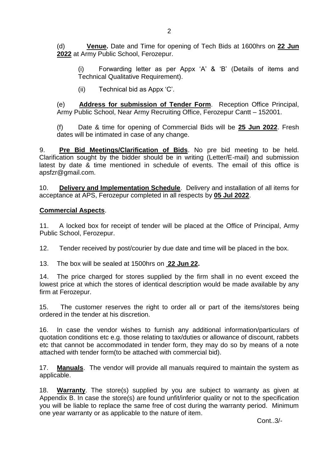(d) **Venue.** Date and Time for opening of Tech Bids at 1600hrs on **22 Jun 2022** at Army Public School, Ferozepur.

(i) Forwarding letter as per Appx "A" & "B" (Details of items and Technical Qualitative Requirement).

(ii) Technical bid as Appx 'C'.

(e) **Address for submission of Tender Form**. Reception Office Principal, Army Public School, Near Army Recruiting Office, Ferozepur Cantt – 152001.

(f) Date & time for opening of Commercial Bids will be **25 Jun 2022**. Fresh dates will be intimated in case of any change.

9. **Pre Bid Meetings/Clarification of Bids**. No pre bid meeting to be held. Clarification sought by the bidder should be in writing (Letter/E-mail) and submission latest by date & time mentioned in schedule of events. The email of this office is apsfzr@gmail.com.

10. **Delivery and Implementation Schedule**. Delivery and installation of all items for acceptance at APS, Ferozepur completed in all respects by **05 Jul 2022**.

#### **Commercial Aspects**.

11. A locked box for receipt of tender will be placed at the Office of Principal, Army Public School, Ferozepur.

12. Tender received by post/courier by due date and time will be placed in the box.

13. The box will be sealed at 1500hrs on **22 Jun 22.**

14. The price charged for stores supplied by the firm shall in no event exceed the lowest price at which the stores of identical description would be made available by any firm at Ferozepur.

15. The customer reserves the right to order all or part of the items/stores being ordered in the tender at his discretion.

16. In case the vendor wishes to furnish any additional information/particulars of quotation conditions etc e.g. those relating to tax/duties or allowance of discount, rabbets etc that cannot be accommodated in tender form, they may do so by means of a note attached with tender form(to be attached with commercial bid).

17. **Manuals**. The vendor will provide all manuals required to maintain the system as applicable.

18. **Warranty**. The store(s) supplied by you are subject to warranty as given at Appendix B. In case the store(s) are found unfit/inferior quality or not to the specification you will be liable to replace the same free of cost during the warranty period. Minimum one year warranty or as applicable to the nature of item.

Cont..3/-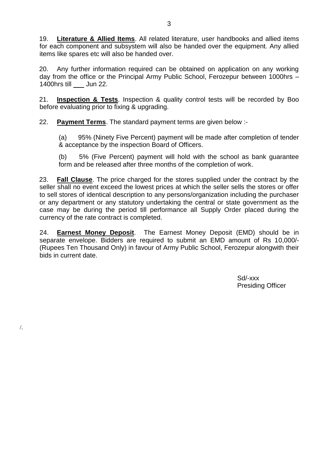19. **Literature & Allied Items**. All related literature, user handbooks and allied items for each component and subsystem will also be handed over the equipment. Any allied items like spares etc will also be handed over.

20. Any further information required can be obtained on application on any working day from the office or the Principal Army Public School, Ferozepur between 1000hrs – 1400hrs till Jun 22.

21. **Inspection & Tests**. Inspection & quality control tests will be recorded by Boo before evaluating prior to fixing & upgrading.

22. **Payment Terms**. The standard payment terms are given below :-

/.

(a) 95% (Ninety Five Percent) payment will be made after completion of tender & acceptance by the inspection Board of Officers.

(b) 5% (Five Percent) payment will hold with the school as bank guarantee form and be released after three months of the completion of work.

23. **Fall Clause**. The price charged for the stores supplied under the contract by the seller shall no event exceed the lowest prices at which the seller sells the stores or offer to sell stores of identical description to any persons/organization including the purchaser or any department or any statutory undertaking the central or state government as the case may be during the period till performance all Supply Order placed during the currency of the rate contract is completed.

24. **Earnest Money Deposit**. The Earnest Money Deposit (EMD) should be in separate envelope. Bidders are required to submit an EMD amount of Rs 10,000/- (Rupees Ten Thousand Only) in favour of Army Public School, Ferozepur alongwith their bids in current date.

> Sd/-xxx Presiding Officer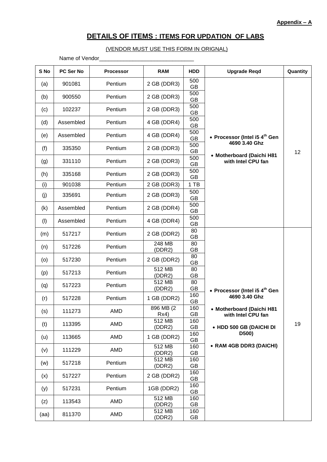### **DETAILS OF ITEMS : ITEMS FOR UPDATION OF LABS**

#### (VENDOR MUST USE THIS FORM IN ORIGNAL)

Name of Vendor\_\_\_\_\_\_\_\_\_\_\_\_\_\_\_\_\_\_\_\_\_\_\_\_\_\_\_\_\_\_\_

| S No | PC Ser No | <b>Processor</b> | <b>RAM</b>         | <b>HDD</b>       | <b>Upgrade Regd</b>                             | Quantity |
|------|-----------|------------------|--------------------|------------------|-------------------------------------------------|----------|
| (a)  | 901081    | Pentium          | 2 GB (DDR3)        | 500<br><b>GB</b> |                                                 |          |
| (b)  | 900550    | Pentium          | 2 GB (DDR3)        | 500<br>GB        |                                                 |          |
| (c)  | 102237    | Pentium          | 2 GB (DDR3)        | 500<br>GB        |                                                 |          |
| (d)  | Assembled | Pentium          | 4 GB (DDR4)        | 500<br>GB        |                                                 |          |
| (e)  | Assembled | Pentium          | 4 GB (DDR4)        | 500<br>GB        | • Processor (Intel i5 4 <sup>th</sup> Gen       |          |
| (f)  | 335350    | Pentium          | 2 GB (DDR3)        | 500<br>GB        | 4690 3.40 Ghz                                   | 12       |
| (g)  | 331110    | Pentium          | 2 GB (DDR3)        | 500<br>GB        | • Motherboard (Daichi H81<br>with Intel CPU fan |          |
| (h)  | 335168    | Pentium          | 2 GB (DDR3)        | 500<br><b>GB</b> |                                                 |          |
| (i)  | 901038    | Pentium          | 2 GB (DDR3)        | 1 TB             |                                                 |          |
| (j)  | 335691    | Pentium          | 2 GB (DDR3)        | 500<br>GB        |                                                 |          |
| (k)  | Assembled | Pentium          | 2 GB (DDR4)        | 500<br>GB        |                                                 |          |
| (1)  | Assembled | Pentium          | 4 GB (DDR4)        | 500<br>GB        |                                                 |          |
| (m)  | 517217    | Pentium          | 2 GB (DDR2)        | 80<br>GB         |                                                 |          |
| (n)  | 517226    | Pentium          | 248 MB<br>(DDR2)   | 80<br>GB         |                                                 |          |
| (0)  | 517230    | Pentium          | 2 GB (DDR2)        | 80<br>GB         |                                                 |          |
| (p)  | 517213    | Pentium          | 512 MB<br>(DDR2)   | 80<br>GB         |                                                 |          |
| (q)  | 517223    | Pentium          | 512 MB<br>(DDR2)   | 80<br>GB         | • Processor (Intel i5 4 <sup>th</sup> Gen       |          |
| (r)  | 517228    | Pentium          | 1 GB (DDR2)        | 160<br>GB        | 4690 3.40 Ghz                                   |          |
| (s)  | 111273    | AMD              | 896 MB (2)<br>Rx4) | 160<br>GB        | • Motherboard (Daichi H81<br>with Intel CPU fan |          |
| (t)  | 113395    | AMD              | 512 MB<br>(DDR2)   | 160<br>GB        | • HDD 500 GB (DAICHI DI                         | 19       |
| (u)  | 113665    | AMD              | 1 GB (DDR2)        | 160<br>GB        | D500)                                           |          |
| (v)  | 111229    | AMD              | 512 MB<br>(DDR2)   | 160<br>GB        | • RAM 4GB DDR3 (DAICHI)                         |          |
| (w)  | 517218    | Pentium          | 512 MB<br>(DDR2)   | 160<br>GB        |                                                 |          |
| (x)  | 517227    | Pentium          | 2 GB (DDR2)        | 160<br>GB        |                                                 |          |
| (y)  | 517231    | Pentium          | 1GB (DDR2)         | 160<br>GB        |                                                 |          |
| (z)  | 113543    | AMD              | 512 MB<br>(DDR2)   | 160<br>GB        |                                                 |          |
| (aa) | 811370    | AMD              | 512 MB<br>(DDR2)   | 160<br>GB        |                                                 |          |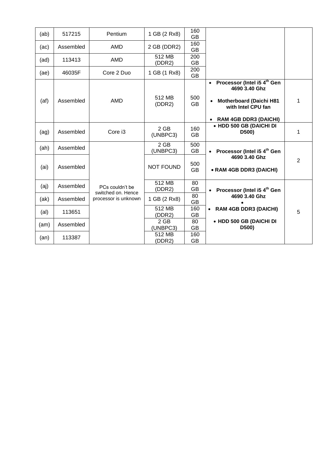| (ab) | 517215    | Pentium                                    | 1 GB (2 Rx8)       | 160<br><b>GB</b> |                                                                                                                                                               |                |
|------|-----------|--------------------------------------------|--------------------|------------------|---------------------------------------------------------------------------------------------------------------------------------------------------------------|----------------|
| (ac) | Assembled | AMD                                        | 2 GB (DDR2)        | 160<br>GB        |                                                                                                                                                               |                |
| (ad) | 113413    | AMD                                        | 512 MB<br>(DDR2)   | 200<br><b>GB</b> |                                                                                                                                                               |                |
| (ae) | 46035F    | Core 2 Duo                                 | 1 GB (1 Rx8)       | 200<br><b>GB</b> |                                                                                                                                                               |                |
| (at) | Assembled | <b>AMD</b>                                 | 512 MB<br>(DDR2)   | 500<br><b>GB</b> | Processor (Intel i5 4 <sup>th</sup> Gen<br>$\bullet$<br>4690 3.40 Ghz<br><b>Motherboard (Daichi H81</b><br>with Intel CPU fan<br><b>RAM 4GB DDR3 (DAICHI)</b> | 1              |
| (ag) | Assembled | Core i3                                    | 2 GB<br>(UNBPC3)   | 160<br><b>GB</b> | • HDD 500 GB (DAICHI DI<br>D500)                                                                                                                              | 1              |
| (ah) | Assembled |                                            | $2$ GB<br>(UNBPC3) | 500<br><b>GB</b> | Processor (Intel i5 4 <sup>th</sup> Gen                                                                                                                       |                |
| (ai) | Assembled |                                            | <b>NOT FOUND</b>   | 500<br><b>GB</b> | 4690 3.40 Ghz<br>• RAM 4GB DDR3 (DAICHI)                                                                                                                      | $\overline{2}$ |
| (aj) | Assembled | PCs couldn't be                            | 512 MB<br>(DDR2)   | 80<br><b>GB</b>  | Processor (Intel i5 4 <sup>th</sup> Gen<br>$\bullet$                                                                                                          |                |
| (ak) | Assembled | switched on. Hence<br>processor is unknown | 1 GB (2 Rx8)       | 80<br><b>GB</b>  | 4690 3.40 Ghz                                                                                                                                                 |                |
| (al) | 113651    |                                            | 512 MB<br>(DDR2)   | 160<br><b>GB</b> | <b>RAM 4GB DDR3 (DAICHI)</b><br>$\bullet$                                                                                                                     | 5              |
| (am) | Assembled |                                            | 2 GB<br>(UNBPC3)   | 80<br><b>GB</b>  | • HDD 500 GB (DAICHI DI<br>D500)                                                                                                                              |                |
| (an) | 113387    |                                            | 512 MB<br>(DDR2)   | 160<br><b>GB</b> |                                                                                                                                                               |                |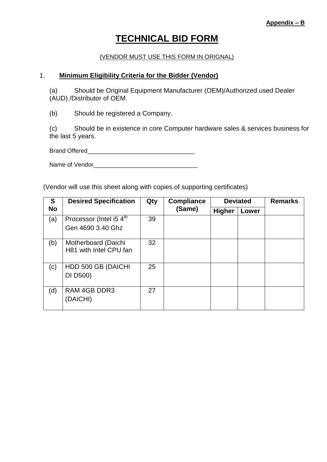# **TECHNICAL BID FORM**

#### (VENDOR MUST USE THIS FORM IN ORIGNAL)

#### 1. **Minimum Eligibility Criteria for the Bidder (Vendor)**

(a) Should be Original Equipment Manufacturer (OEM)/Authorized used Dealer (AUD) /Distributor of OEM.

(b) Should be registered a Company.

(c) Should be in existence in core Computer hardware sales & services business for the last 5 years.

Brand Offered\_\_\_\_\_\_\_\_\_\_\_\_\_\_\_\_\_\_\_\_\_\_\_\_\_\_\_\_\_\_\_\_

Name of Vendor\_\_\_\_\_\_\_\_\_\_\_\_\_\_\_\_\_\_\_\_\_\_\_\_\_\_\_\_\_\_\_

(Vendor will use this sheet along with copies of supporting certificates)

| S         | <b>Desired Specification</b><br>Qty<br><b>Compliance</b> |    |        | <b>Deviated</b> | <b>Remarks</b> |  |
|-----------|----------------------------------------------------------|----|--------|-----------------|----------------|--|
| <b>No</b> |                                                          |    | (Same) | <b>Higher</b>   | Lower          |  |
| (a)       | Processor (Intel i5 4 <sup>th</sup><br>Gen 4690 3.40 Ghz | 39 |        |                 |                |  |
| (b)       | Motherboard (Daichi<br>H81 with Intel CPU fan            | 32 |        |                 |                |  |
| (c)       | HDD 500 GB (DAICHI<br>DI D500)                           | 25 |        |                 |                |  |
| (d)       | <b>RAM 4GB DDR3</b><br>(DAICHI)                          | 27 |        |                 |                |  |